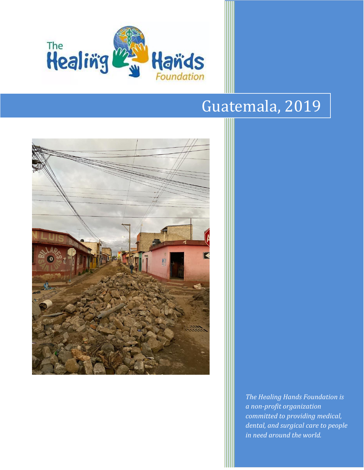

# Guatemala, 2019



*The Healing Hands Foundation is a non-profit organization committed to providing medical, dental, and surgical care to people in need around the world.*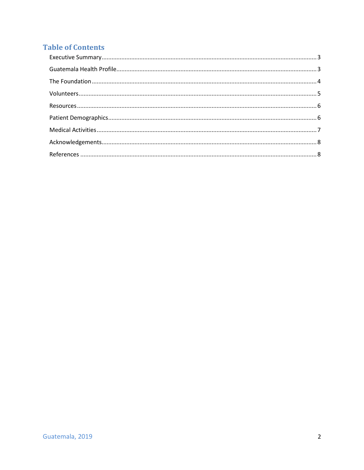## **Table of Contents**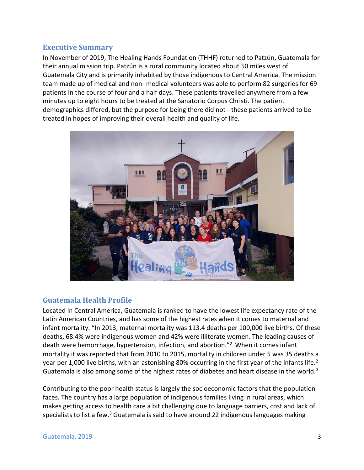## <span id="page-2-0"></span>**Executive Summary**

In November of 2019, The Healing Hands Foundation (THHF) returned to Patzún, Guatemala for their annual mission trip. Patzún is a rural community located about 50 miles west of Guatemala City and is primarily inhabited by those indigenous to Central America. The mission team made up of medical and non- medical volunteers was able to perform 82 surgeries for 69 patients in the course of four and a half days. These patients travelled anywhere from a few minutes up to eight hours to be treated at the Sanatorio Corpus Christi. The patient demographics differed, but the purpose for being there did not - these patients arrived to be treated in hopes of improving their overall health and quality of life.



## <span id="page-2-1"></span>**Guatemala Health Profile**

Located in Central America, Guatemala is ranked to have the lowest life expectancy rate of the Latin American Countries, and has some of the highest rates when it comes to maternal and infant mortality. "In 2013, maternal mortality was 113.4 deaths per 100,000 live births. Of these deaths, 68.4% were indigenous women and 42% were illiterate women. The leading causes of death were hemorrhage, hypertension, infection, and abortion."<sup>2</sup> When it comes infant mortality it was reported that from 2010 to 2015, mortality in children under 5 was 35 deaths a year per 1,000 live births, with an astonishing 80% occurring in the first year of the infants life.<sup>2</sup> Guatemala is also among some of the highest rates of diabetes and heart disease in the world.<sup>3</sup>

Contributing to the poor health status is largely the socioeconomic factors that the population faces. The country has a large population of indigenous families living in rural areas, which makes getting access to health care a bit challenging due to language barriers, cost and lack of specialists to list a few.<sup>3</sup> Guatemala is said to have around 22 indigenous languages making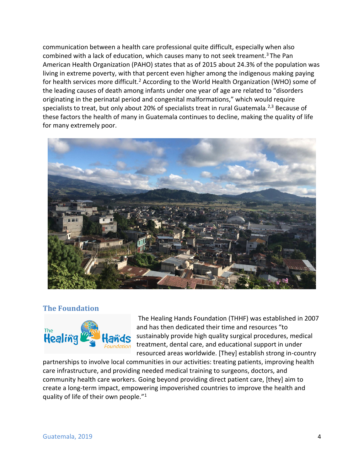communication between a health care professional quite difficult, especially when also combined with a lack of education, which causes many to not seek treament.<sup>3</sup> The Pan American Health Organization (PAHO) states that as of 2015 about 24.3% of the population was living in extreme poverty, with that percent even higher among the indigenous making paying for health services more difficult.<sup>2</sup> According to the World Health Organization (WHO) some of the leading causes of death among infants under one year of age are related to "disorders originating in the perinatal period and congenital malformations," which would require specialists to treat, but only about 20% of specialists treat in rural Guatemala.<sup>2,3</sup> Because of these factors the health of many in Guatemala continues to decline, making the quality of life for many extremely poor.



## <span id="page-3-0"></span>**The Foundation**



The Healing Hands Foundation (THHF) was established in 2007 and has then dedicated their time and resources "to sustainably provide high quality surgical procedures, medical treatment, dental care, and educational support in under resourced areas worldwide. [They] establish strong in-country

partnerships to involve local communities in our activities: treating patients, improving health care infrastructure, and providing needed medical training to surgeons, doctors, and community health care workers. Going beyond providing direct patient care, [they] aim to create a long-term impact, empowering impoverished countries to improve the health and quality of life of their own people."1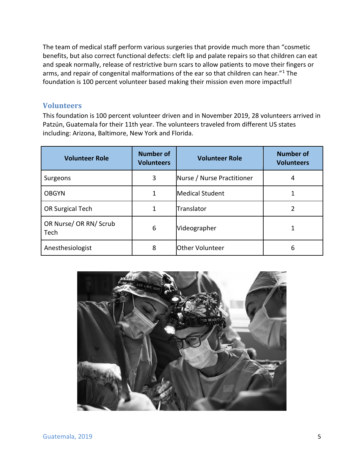The team of medical staff perform various surgeries that provide much more than "cosmetic benefits, but also correct functional defects: cleft lip and palate repairs so that children can eat and speak normally, release of restrictive burn scars to allow patients to move their fingers or arms, and repair of congenital malformations of the ear so that children can hear."<sup>1</sup> The foundation is 100 percent volunteer based making their mission even more impactful!

## <span id="page-4-0"></span>**Volunteers**

This foundation is 100 percent volunteer driven and in November 2019, 28 volunteers arrived in Patzún, Guatemala for their 11th year. The volunteers traveled from different US states including: Arizona, Baltimore, New York and Florida.

| <b>Volunteer Role</b>          | <b>Number of</b><br><b>Volunteers</b> | <b>Volunteer Role</b>      | <b>Number of</b><br><b>Volunteers</b> |
|--------------------------------|---------------------------------------|----------------------------|---------------------------------------|
| Surgeons                       | 3                                     | Nurse / Nurse Practitioner | 4                                     |
| <b>OBGYN</b>                   | 1                                     | <b>Medical Student</b>     |                                       |
| OR Surgical Tech               | 1                                     | Translator                 |                                       |
| OR Nurse/ OR RN/ Scrub<br>Tech | 6                                     | Videographer               |                                       |
| Anesthesiologist               | 8                                     | Other Volunteer            | 6                                     |

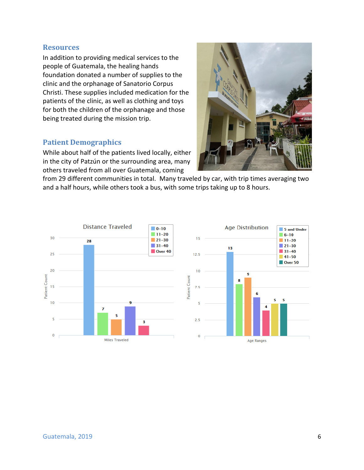#### <span id="page-5-0"></span>**Resources**

In addition to providing medical services to the people of Guatemala, the healing hands foundation donated a number of supplies to the clinic and the orphanage of Sanatorio Corpus Christi. These supplies included medication for the patients of the clinic, as well as clothing and toys for both the children of the orphanage and those being treated during the mission trip.

#### <span id="page-5-1"></span>**Patient Demographics**

While about half of the patients lived locally, either in the city of Patzún or the surrounding area, many others traveled from all over Guatemala, coming



from 29 different communities in total. Many traveled by car, with trip times averaging two and a half hours, while others took a bus, with some trips taking up to 8 hours.

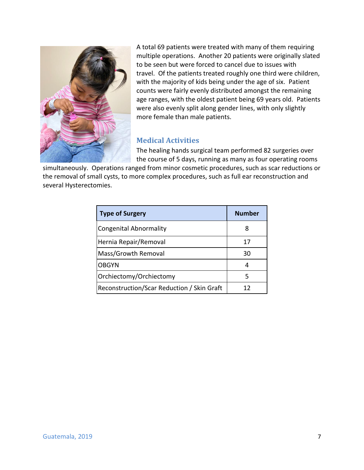

A total 69 patients were treated with many of them requiring multiple operations. Another 20 patients were originally slated to be seen but were forced to cancel due to issues with travel. Of the patients treated roughly one third were children, with the majority of kids being under the age of six. Patient counts were fairly evenly distributed amongst the remaining age ranges, with the oldest patient being 69 years old. Patients were also evenly split along gender lines, with only slightly more female than male patients.

## <span id="page-6-0"></span>**Medical Activities**

The healing hands surgical team performed 82 surgeries over the course of 5 days, running as many as four operating rooms

simultaneously. Operations ranged from minor cosmetic procedures, such as scar reductions or the removal of small cysts, to more complex procedures, such as full ear reconstruction and several Hysterectomies.

| <b>Type of Surgery</b>                     | <b>Number</b> |
|--------------------------------------------|---------------|
| <b>Congenital Abnormality</b>              | 8             |
| Hernia Repair/Removal                      | 17            |
| Mass/Growth Removal                        | 30            |
| <b>OBGYN</b>                               | 4             |
| Orchiectomy/Orchiectomy                    | 5             |
| Reconstruction/Scar Reduction / Skin Graft | 17            |